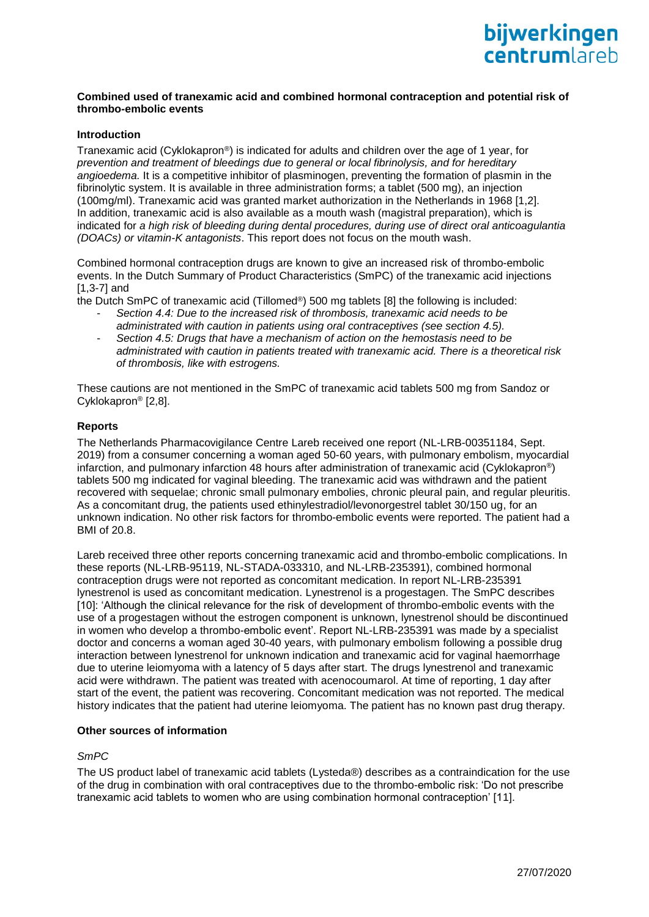

### **Combined used of tranexamic acid and combined hormonal contraception and potential risk of thrombo-embolic events**

### **Introduction**

Tranexamic acid (Cyklokapron®) is indicated for adults and children over the age of 1 year, for *prevention and treatment of bleedings due to general or local fibrinolysis, and for hereditary angioedema.* It is a competitive inhibitor of plasminogen, preventing the formation of plasmin in the fibrinolytic system. It is available in three administration forms; a tablet (500 mg), an injection (100mg/ml). Tranexamic acid was granted market authorization in the Netherlands in 1968 [1,2]. In addition, tranexamic acid is also available as a mouth wash (magistral preparation), which is indicated for *a high risk of bleeding during dental procedures, during use of direct oral anticoagulantia (DOACs) or vitamin-K antagonists*. This report does not focus on the mouth wash.

Combined hormonal contraception drugs are known to give an increased risk of thrombo-embolic events. In the Dutch Summary of Product Characteristics (SmPC) of the tranexamic acid injections [1,3-7] and

the Dutch SmPC of tranexamic acid (Tillomed®) 500 mg tablets [8] the following is included:

- *Section 4.4: Due to the increased risk of thrombosis, tranexamic acid needs to be administrated with caution in patients using oral contraceptives (see section 4.5).*
- *Section 4.5: Drugs that have a mechanism of action on the hemostasis need to be administrated with caution in patients treated with tranexamic acid. There is a theoretical risk of thrombosis, like with estrogens.*

These cautions are not mentioned in the SmPC of tranexamic acid tablets 500 mg from Sandoz or Cyklokapron® [2,8].

## **Reports**

The Netherlands Pharmacovigilance Centre Lareb received one report (NL-LRB-00351184, Sept. 2019) from a consumer concerning a woman aged 50-60 years, with pulmonary embolism, myocardial infarction, and pulmonary infarction 48 hours after administration of tranexamic acid (Cyklokapron®) tablets 500 mg indicated for vaginal bleeding. The tranexamic acid was withdrawn and the patient recovered with sequelae; chronic small pulmonary embolies, chronic pleural pain, and regular pleuritis. As a concomitant drug, the patients used ethinylestradiol/levonorgestrel tablet 30/150 ug, for an unknown indication. No other risk factors for thrombo-embolic events were reported. The patient had a BMI of 20.8.

Lareb received three other reports concerning tranexamic acid and thrombo-embolic complications. In these reports (NL-LRB-95119, NL-STADA-033310, and NL-LRB-235391), combined hormonal contraception drugs were not reported as concomitant medication. In report NL-LRB-235391 lynestrenol is used as concomitant medication. Lynestrenol is a progestagen. The SmPC describes [10]: 'Although the clinical relevance for the risk of development of thrombo-embolic events with the use of a progestagen without the estrogen component is unknown, lynestrenol should be discontinued in women who develop a thrombo-embolic event'. Report NL-LRB-235391 was made by a specialist doctor and concerns a woman aged 30-40 years, with pulmonary embolism following a possible drug interaction between lynestrenol for unknown indication and tranexamic acid for vaginal haemorrhage due to uterine leiomyoma with a latency of 5 days after start. The drugs lynestrenol and tranexamic acid were withdrawn. The patient was treated with acenocoumarol. At time of reporting, 1 day after start of the event, the patient was recovering. Concomitant medication was not reported. The medical history indicates that the patient had uterine leiomyoma. The patient has no known past drug therapy.

### **Other sources of information**

# *SmPC*

The US product label of tranexamic acid tablets (Lysteda®) describes as a contraindication for the use of the drug in combination with oral contraceptives due to the thrombo-embolic risk: 'Do not prescribe tranexamic acid tablets to women who are using combination hormonal contraception' [11].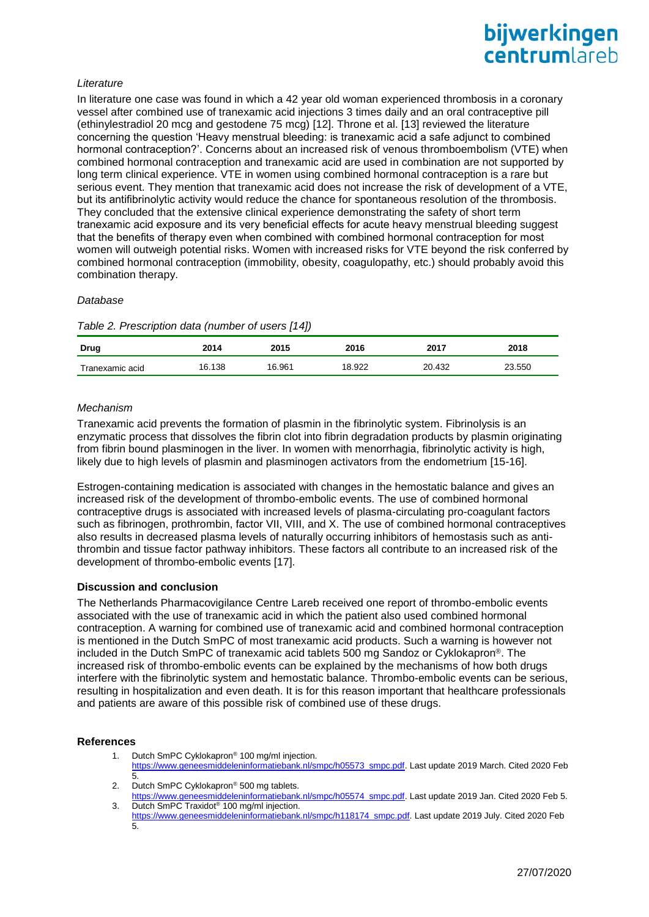# *Literature*

In literature one case was found in which a 42 year old woman experienced thrombosis in a coronary vessel after combined use of tranexamic acid injections 3 times daily and an oral contraceptive pill (ethinylestradiol 20 mcg and gestodene 75 mcg) [12]. Throne et al. [13] reviewed the literature concerning the question 'Heavy menstrual bleeding: is tranexamic acid a safe adjunct to combined hormonal contraception?'. Concerns about an increased risk of venous thromboembolism (VTE) when combined hormonal contraception and tranexamic acid are used in combination are not supported by long term clinical experience. VTE in women using combined hormonal contraception is a rare but serious event. They mention that tranexamic acid does not increase the risk of development of a VTE, but its antifibrinolytic activity would reduce the chance for spontaneous resolution of the thrombosis. They concluded that the extensive clinical experience demonstrating the safety of short term tranexamic acid exposure and its very beneficial effects for acute heavy menstrual bleeding suggest that the benefits of therapy even when combined with combined hormonal contraception for most women will outweigh potential risks. Women with increased risks for VTE beyond the risk conferred by combined hormonal contraception (immobility, obesity, coagulopathy, etc.) should probably avoid this combination therapy.

#### *Database*

| <b>Drug</b><br>the contract of the contract of the | 2014   | 2015   | 2016   | 2017   | 2018   |
|----------------------------------------------------|--------|--------|--------|--------|--------|
| Tranexamic acid                                    | 16.138 | 16.961 | 18.922 | 20.432 | 23.550 |

# *Mechanism*

Tranexamic acid prevents the formation of plasmin in the fibrinolytic system. Fibrinolysis is an enzymatic process that dissolves the fibrin clot into fibrin degradation products by plasmin originating from fibrin bound plasminogen in the liver. In women with menorrhagia, fibrinolytic activity is high, likely due to high levels of plasmin and plasminogen activators from the endometrium [15-16].

Estrogen-containing medication is associated with changes in the hemostatic balance and gives an increased risk of the development of thrombo-embolic events. The use of combined hormonal contraceptive drugs is associated with increased levels of plasma-circulating pro-coagulant factors such as fibrinogen, prothrombin, factor VII, VIII, and X. The use of combined hormonal contraceptives also results in decreased plasma levels of naturally occurring inhibitors of hemostasis such as antithrombin and tissue factor pathway inhibitors. These factors all contribute to an increased risk of the development of thrombo-embolic events [17].

## **Discussion and conclusion**

The Netherlands Pharmacovigilance Centre Lareb received one report of thrombo-embolic events associated with the use of tranexamic acid in which the patient also used combined hormonal contraception. A warning for combined use of tranexamic acid and combined hormonal contraception is mentioned in the Dutch SmPC of most tranexamic acid products. Such a warning is however not included in the Dutch SmPC of tranexamic acid tablets 500 mg Sandoz or Cyklokapron®. The increased risk of thrombo-embolic events can be explained by the mechanisms of how both drugs interfere with the fibrinolytic system and hemostatic balance. Thrombo-embolic events can be serious, resulting in hospitalization and even death. It is for this reason important that healthcare professionals and patients are aware of this possible risk of combined use of these drugs.

## **References**

- 1. Dutch SmPC Cyklokapron® 100 mg/ml injection. [https://www.geneesmiddeleninformatiebank.nl/smpc/h05573\\_smpc.pdf.](https://www.geneesmiddeleninformatiebank.nl/smpc/h05573_smpc.pdf) Last update 2019 March. Cited 2020 Feb 5.
- 2. Dutch SmPC Cyklokapron<sup>®</sup> 500 mg tablets. [https://www.geneesmiddeleninformatiebank.nl/smpc/h05574\\_smpc.pdf.](https://www.geneesmiddeleninformatiebank.nl/smpc/h05574_smpc.pdf) Last update 2019 Jan. Cited 2020 Feb 5.

3. Dutch SmPC Traxidot® 100 mg/ml injection. [https://www.geneesmiddeleninformatiebank.nl/smpc/h118174\\_smpc.pdf.](https://www.geneesmiddeleninformatiebank.nl/smpc/h118174_smpc.pdf) Last update 2019 July. Cited 2020 Feb  $\overline{5}$